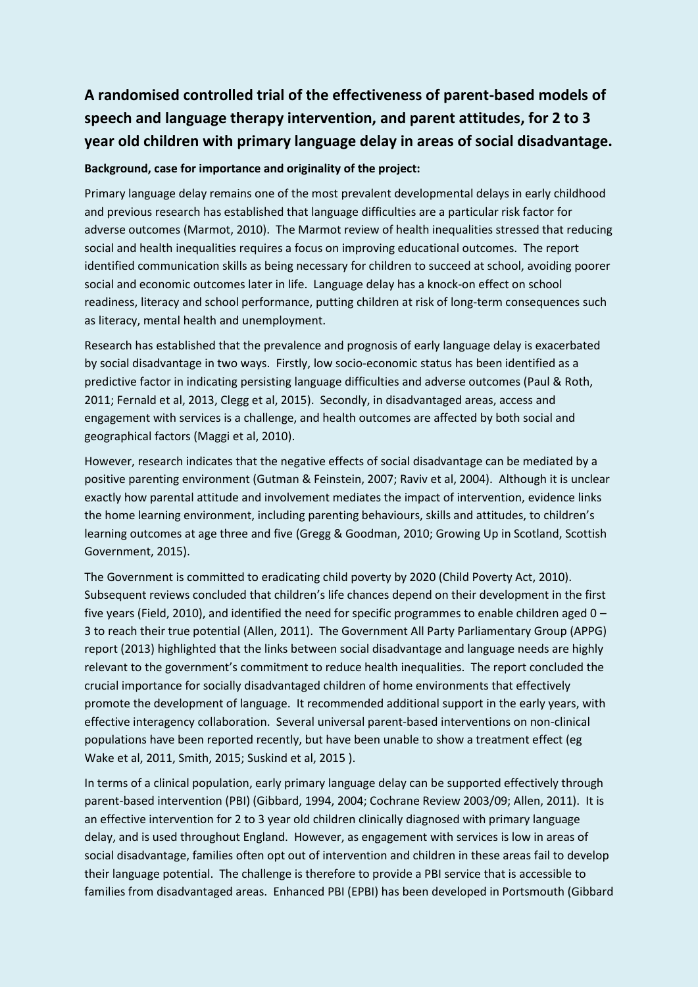## **A randomised controlled trial of the effectiveness of parent-based models of speech and language therapy intervention, and parent attitudes, for 2 to 3 year old children with primary language delay in areas of social disadvantage.**

## **Background, case for importance and originality of the project:**

Primary language delay remains one of the most prevalent developmental delays in early childhood and previous research has established that language difficulties are a particular risk factor for adverse outcomes (Marmot, 2010). The Marmot review of health inequalities stressed that reducing social and health inequalities requires a focus on improving educational outcomes. The report identified communication skills as being necessary for children to succeed at school, avoiding poorer social and economic outcomes later in life. Language delay has a knock-on effect on school readiness, literacy and school performance, putting children at risk of long-term consequences such as literacy, mental health and unemployment.

Research has established that the prevalence and prognosis of early language delay is exacerbated by social disadvantage in two ways. Firstly, low socio-economic status has been identified as a predictive factor in indicating persisting language difficulties and adverse outcomes (Paul & Roth, 2011; Fernald et al, 2013, Clegg et al, 2015). Secondly, in disadvantaged areas, access and engagement with services is a challenge, and health outcomes are affected by both social and geographical factors (Maggi et al, 2010).

However, research indicates that the negative effects of social disadvantage can be mediated by a positive parenting environment (Gutman & Feinstein, 2007; Raviv et al, 2004). Although it is unclear exactly how parental attitude and involvement mediates the impact of intervention, evidence links the home learning environment, including parenting behaviours, skills and attitudes, to children's learning outcomes at age three and five (Gregg & Goodman, 2010; Growing Up in Scotland, Scottish Government, 2015).

The Government is committed to eradicating child poverty by 2020 (Child Poverty Act, 2010). Subsequent reviews concluded that children's life chances depend on their development in the first five years (Field, 2010), and identified the need for specific programmes to enable children aged 0 – 3 to reach their true potential (Allen, 2011). The Government All Party Parliamentary Group (APPG) report (2013) highlighted that the links between social disadvantage and language needs are highly relevant to the government's commitment to reduce health inequalities. The report concluded the crucial importance for socially disadvantaged children of home environments that effectively promote the development of language. It recommended additional support in the early years, with effective interagency collaboration. Several universal parent-based interventions on non-clinical populations have been reported recently, but have been unable to show a treatment effect (eg Wake et al, 2011, Smith, 2015; Suskind et al, 2015 ).

In terms of a clinical population, early primary language delay can be supported effectively through parent-based intervention (PBI) (Gibbard, 1994, 2004; Cochrane Review 2003/09; Allen, 2011). It is an effective intervention for 2 to 3 year old children clinically diagnosed with primary language delay, and is used throughout England. However, as engagement with services is low in areas of social disadvantage, families often opt out of intervention and children in these areas fail to develop their language potential. The challenge is therefore to provide a PBI service that is accessible to families from disadvantaged areas. Enhanced PBI (EPBI) has been developed in Portsmouth (Gibbard